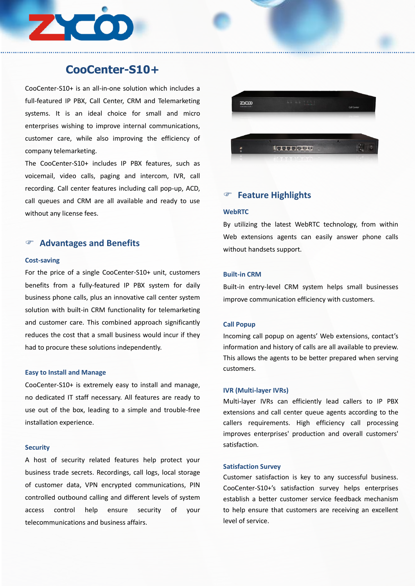

# **CooCenter-S10+**

CooCenter-S10+ is an all-in-one solution which includes a full-featured IP PBX, Call Center, CRM and Telemarketing systems. It is an ideal choice for small and micro enterprises wishing to improve internal communications, customer care, while also improving the efficiency of company telemarketing.

The CooCenter-S10+ includes IP PBX features, such as voicemail, video calls, paging and intercom, IVR, call recording. Call center features including call pop-up, ACD, call queues and CRM are all available and ready to use without any license fees.

# **Advantages and Benefits**

### **Cost-saving**

For the price of a single CooCenter-S10+ unit, customers benefits from a fully-featured IP PBX system for daily business phone calls, plus an innovative call center system solution with built-in CRM functionality for telemarketing and customer care. This combined approach significantly reduces the cost that a small business would incur if they had to procure these solutions independently.

### **Easy to Install and Manage**

CooCenter-S10+ is extremely easy to install and manage, no dedicated IT staff necessary. All features are ready to use out of the box, leading to a simple and trouble-free installation experience.

### **Security**

A host of security related features help protect your business trade secrets. Recordings, call logs, local storage of customer data, VPN encrypted communications, PIN controlled outbound calling and different levels of system access control help ensure security of your telecommunications and business affairs.



# **Feature Highlights**

### **WebRTC**

By utilizing the latest WebRTC technology, from within Web extensions agents can easily answer phone calls without handsets support.

## **Built-in CRM**

Built-in entry-level CRM system helps small businesses improve communication efficiency with customers.

# **Call Popup**

Incoming call popup on agents' Web extensions, contact's information and history of calls are all available to preview. This allows the agents to be better prepared when serving customers.

#### **IVR (Multi-layer IVRs)**

Multi-layer IVRs can efficiently lead callers to IP PBX extensions and call center queue agents according to the callers requirements. High efficiency call processing improves enterprises' production and overall customers' satisfaction.

## **Satisfaction Survey**

Customer satisfaction is key to any successful business. CooCenter-S10+'s satisfaction survey helps enterprises establish a better customer service feedback mechanism to help ensure that customers are receiving an excellent level of service.